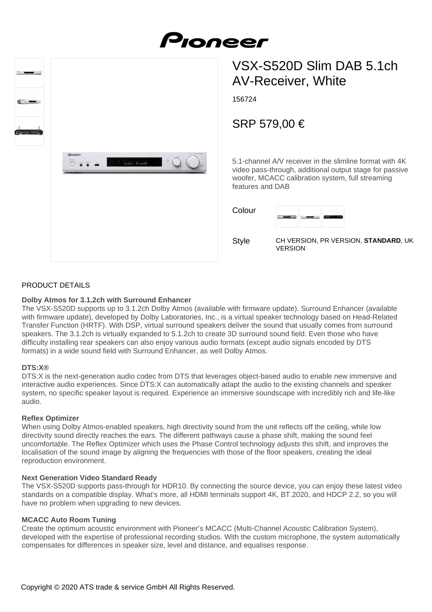



# VSX-S520D Slim DAB 5.1ch AV-Receiver, White

156724

# SRP 579,00 €

5.1-channel A/V receiver in the slimline format with 4K video pass-through, additional output stage for passive woofer, MCACC calibration system, full streaming features and DAB

| Colour       |                    |
|--------------|--------------------|
| <b>Style</b> | CH VERSION, PR VER |

**SION, STANDARD, UK** VERSION

### PRODUCT DETAILS

#### **Dolby Atmos for 3.1.2ch with Surround Enhancer**

The VSX-S520D supports up to 3.1.2ch Dolby Atmos (available with firmware update). Surround Enhancer (available with firmware update), developed by Dolby Laboratories, Inc., is a virtual speaker technology based on Head-Related Transfer Function (HRTF). With DSP, virtual surround speakers deliver the sound that usually comes from surround speakers. The 3.1.2ch is virtually expanded to 5.1.2ch to create 3D surround sound field. Even those who have difficulty installing rear speakers can also enjoy various audio formats (except audio signals encoded by DTS formats) in a wide sound field with Surround Enhancer, as well Dolby Atmos.

#### **DTS:X®**

DTS:X is the next-generation audio codec from DTS that leverages object-based audio to enable new immersive and interactive audio experiences. Since DTS:X can automatically adapt the audio to the existing channels and speaker system, no specific speaker layout is required. Experience an immersive soundscape with incredibly rich and life-like audio.

#### **Reflex Optimizer**

When using Dolby Atmos-enabled speakers, high directivity sound from the unit reflects off the ceiling, while low directivity sound directly reaches the ears. The different pathways cause a phase shift, making the sound feel uncomfortable. The Reflex Optimizer which uses the Phase Control technology adjusts this shift, and improves the localisation of the sound image by aligning the frequencies with those of the floor speakers, creating the ideal reproduction environment.

#### **Next Generation Video Standard Ready**

The VSX-S520D supports pass-through for HDR10. By connecting the source device, you can enjoy these latest video standards on a compatible display. What's more, all HDMI terminals support 4K, BT.2020, and HDCP 2.2, so you will have no problem when upgrading to new devices.

#### **MCACC Auto Room Tuning**

Create the optimum acoustic environment with Pioneer's MCACC (Multi-Channel Acoustic Calibration System), developed with the expertise of professional recording studios. With the custom microphone, the system automatically compensates for differences in speaker size, level and distance, and equalises response.